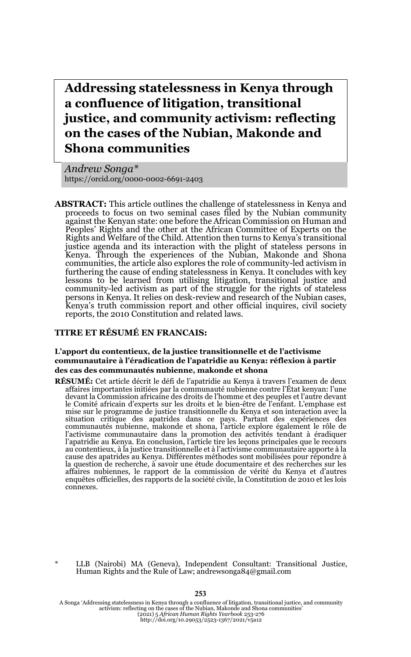**Addressing statelessness in Kenya through a confluence of litigation, transitional justice, and community activism: reflecting on the cases of the Nubian, Makonde and Shona communities**

*Andrew Songa\** https://orcid.org/0000-0002-6691-2403

**ABSTRACT:** This article outlines the challenge of statelessness in Kenya and proceeds to focus on two seminal cases filed by the Nubian community against the Kenyan state: one before the African Commission on Human and Peoples' Rights and the other at the African Committee of Experts on the Rights and Welfare of the Child. Attention then turns to Kenya's transitional justice agenda and its interaction with the plight of stateless persons in Kenya. Through the experiences of the Nubian, Makonde and Shona communities, the article also explores the role of community-led activism in furthering the cause of ending statelessness in Kenya. It concludes with key lessons to be learned from utilising litigation, transitional justice and community-led activism as part of the struggle for the rights of stateless persons in Kenya. It relies on desk-review and research of the Nubian cases, Kenya's truth commission report and other official inquires, civil society reports, the 2010 Constitution and related laws.

#### **TITRE ET RÉSUMÉ EN FRANCAIS:**

#### **L'apport du contentieux, de la justice transitionnelle et de l'activisme communautaire à l'éradication de l'apatridie au Kenya: réflexion à partir des cas des communautés nubienne, makonde et shona**

RÉSUMÉ: Cet article décrit le défi de l'apatridie au Kenya à travers l'examen de deux affaires importantes initiées par la communauté nubienne contre l'État kenyan: l'une devant la Commission africaine des droits de l'homme et des peuples et l'autre devant le Comité africain d'experts sur les droits et le bien-être de l'enfant. L'emphase est mise sur le programme de justice transitionnelle du Kenya et son interaction avec la<br>situation critique des apatrides dans ce pays. Partant des expériences des<br>communautés nubienne, makonde et shona, l'article explore égal l'activisme communautaire dans la promotion des activités tendant à éradiquer l'apatridie au Kenya. En conclusion, l'article tire les leçons principales que le recours au contentieux, à la justice transitionnelle et à l'activisme communautaire apporte à la cause des apatrides au Kenya. Différentes méthodes sont mobilisées pour répondre à la question de recherche, à savoir une étude documentaire et des recherches sur les affaires nubiennes, le rapport de la commission de vérité du Kenya et d'autres enquêtes officielles, des rapports de la société civile, la Constitution de 2010 et les lois connexes.

\* LLB (Nairobi) MA (Geneva), Independent Consultant: Transitional Justice, Human Rights and the Rule of Law; andrewsonga84@gmail.com

A Songa 'Addressing statelessness in Kenya through a confluence of litigation, transitional justice, and community activism: reflecting on the cases of the Nubian, Makonde and Shona communities'<br>(2021) 5 *African Human Rights Yearbook 25*3-276<br>http://doi.org/10.29053/2523-1367/2021/v5a12

#### **253**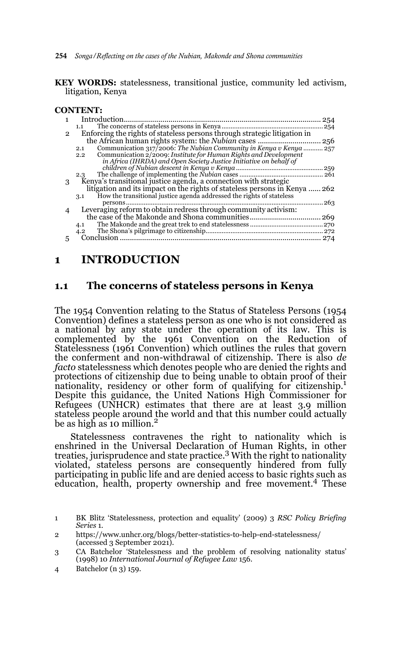- **254** *Songa/Reflecting on the cases of the Nubian, Makonde and Shona communities*
- **KEY WORDS:** statelessness, transitional justice, community led activism, litigation, Kenya

#### **CONTENT:**

|               | Introduction                                                                      | 254 |
|---------------|-----------------------------------------------------------------------------------|-----|
|               | 1.1                                                                               | 254 |
| $\mathcal{P}$ | Enforcing the rights of stateless persons through strategic litigation in         |     |
|               |                                                                                   |     |
|               | Communication 317/2006: The Nubian Community in Kenya v Kenya  257<br>2.1         |     |
|               | Communication 2/2009: Institute for Human Rights and Development<br>$2.2^{\circ}$ |     |
|               | in Africa (IHRDA) and Open Society Justice Initiative on behalf of                |     |
|               |                                                                                   | 259 |
|               | 2.3                                                                               | 261 |
| 3             | Kenya's transitional justice agenda, a connection with strategic                  |     |
|               | litigation and its impact on the rights of stateless persons in Kenya  262        |     |
|               | How the transitional justice agenda addressed the rights of stateless<br>3.1      |     |
|               |                                                                                   | 263 |
|               | Leveraging reform to obtain redress through community activism:                   |     |
|               |                                                                                   |     |
|               | 4.1                                                                               |     |
|               | 4.2                                                                               |     |
|               | Conclusion                                                                        | 274 |
|               |                                                                                   |     |

# **1 INTRODUCTION**

### **1.1 The concerns of stateless persons in Kenya**

The 1954 Convention relating to the Status of Stateless Persons (1954 Convention) defines a stateless person as one who is not considered as a national by any state under the operation of its law. This is complemented by the 1961 Convention on the Reduction of Statelessness (1961 Convention) which outlines the rules that govern the conferment and non-withdrawal of citizenship. There is also *de facto* statelessness which denotes people who are denied the rights and protections of citizenship due to being unable to obtain proof of their nationality, residency or other form of qualifying for citizenship.<sup>1</sup> Despite this guidance, the United Nations High Commissioner for Refugees (UNHCR) estimates that there are at least 3.9 million stateless people around the world and that this number could actually be as high as 10 million.<sup>2</sup>

Statelessness contravenes the right to nationality which is enshrined in the Universal Declaration of Human Rights, in other treaties, jurisprudence and state practice.<sup>3</sup> With the right to nationality violated, stateless persons are consequently hindered from fully participating in public life and are denied access to basic rights such as education, health, property ownership and free movement.4 These

3 CA Batchelor 'Statelessness and the problem of resolving nationality status' (1998) 10 *International Journal of Refugee Law* 156.

<sup>1</sup> BK Blitz 'Statelessness, protection and equality' (2009) 3 *RSC Policy Briefing Series* 1.

<sup>2</sup> https://www.unhcr.org/blogs/better-statistics-to-help-end-statelessness/ (accessed 3 September 2021).

<sup>4</sup> Batchelor (n 3) 159.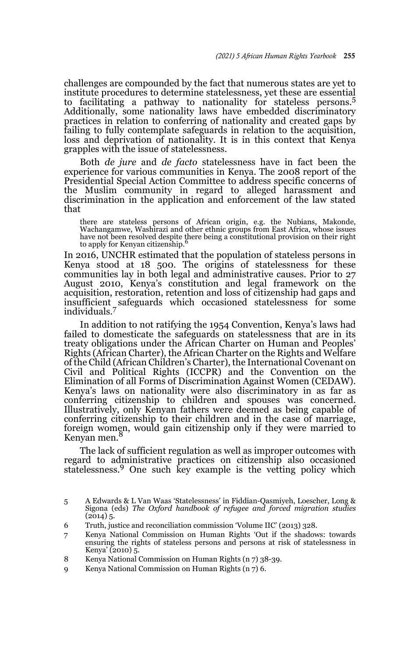challenges are compounded by the fact that numerous states are yet to institute procedures to determine statelessness, yet these are essential to facilitating a pathway to nationality for stateless persons.5 Additionally, some nationality laws have embedded discriminatory practices in relation to conferring of nationality and created gaps by failing to fully contemplate safeguards in relation to the acquisition, loss and deprivation of nationality. It is in this context that Kenya grapples with the issue of statelessness.

Both *de jure* and *de facto* statelessness have in fact been the experience for various communities in Kenya. The 2008 report of the Presidential Special Action Committee to address specific concerns of the Muslim community in regard to alleged harassment and discrimination in the application and enforcement of the law stated that

there are stateless persons of African origin, e.g. the Nubians, Makonde, Wachangamwe, Washirazi and other ethnic groups from East Africa, whose issues have not been resolved despite there being a constitutional provision on their right to apply for Kenyan citizenship.<sup>6</sup>

In 2016, UNCHR estimated that the population of stateless persons in Kenya stood at 18 500. The origins of statelessness for these communities lay in both legal and administrative causes. Prior to 27 August 2010, Kenya's constitution and legal framework on the acquisition, restoration, retention and loss of citizenship had gaps and insufficient safeguards which occasioned statelessness for some individuals.<sup>7</sup>

In addition to not ratifying the 1954 Convention, Kenya's laws had failed to domesticate the safeguards on statelessness that are in its treaty obligations under the African Charter on Human and Peoples' Rights (African Charter), the African Charter on the Rights and Welfare of the Child (African Children's Charter), the International Covenant on Civil and Political Rights (ICCPR) and the Convention on the Elimination of all Forms of Discrimination Against Women (CEDAW). Kenya's laws on nationality were also discriminatory in as far as conferring citizenship to children and spouses was concerned. Illustratively, only Kenyan fathers were deemed as being capable of conferring citizenship to their children and in the case of marriage, foreign women, would gain citizenship only if they were married to Kenyan men.<sup>8</sup>

The lack of sufficient regulation as well as improper outcomes with regard to administrative practices on citizenship also occasioned statelessness.9 One such key example is the vetting policy which

<sup>5</sup> A Edwards & L Van Waas 'Statelessness' in Fiddian-Qasmiyeh, Loescher, Long & Sigona (eds) *The Oxford handbook of refugee and forced migration studies*  $(2014)$  5.

<sup>6</sup> Truth, justice and reconciliation commission 'Volume IIC' (2013) 328.

<sup>7</sup> Kenya National Commission on Human Rights 'Out if the shadows: towards ensuring the rights of stateless persons and persons at risk of statelessness in Kenya' (2010) 5.

<sup>8</sup> Kenya National Commission on Human Rights (n 7) 38-39.

<sup>9</sup> Kenya National Commission on Human Rights (n 7) 6.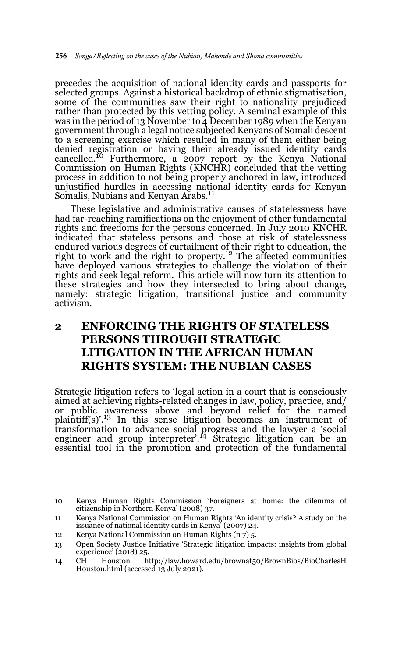precedes the acquisition of national identity cards and passports for selected groups. Against a historical backdrop of ethnic stigmatisation, some of the communities saw their right to nationality prejudiced rather than protected by this vetting policy. A seminal example of this was in the period of 13 November to 4 December 1989 when the Kenyan government through a legal notice subjected Kenyans of Somali descent to a screening exercise which resulted in many of them either being denied registration or having their already issued identity cards cancelled.<sup>10</sup> Furthermore, a 2007 report by the Kenya National Commission on Human Rights (KNCHR) concluded that the vetting process in addition to not being properly anchored in law, introduced unjustified hurdles in accessing national identity cards for Kenyan Somalis, Nubians and Kenyan Arabs.<sup>11</sup>

These legislative and administrative causes of statelessness have had far-reaching ramifications on the enjoyment of other fundamental rights and freedoms for the persons concerned. In July 2010 KNCHR indicated that stateless persons and those at risk of statelessness endured various degrees of curtailment of their right to education, the right to work and the right to property.12 The affected communities have deployed various strategies to challenge the violation of their rights and seek legal reform. This article will now turn its attention to these strategies and how they intersected to bring about change, namely: strategic litigation, transitional justice and community activism.

# **2 ENFORCING THE RIGHTS OF STATELESS PERSONS THROUGH STRATEGIC LITIGATION IN THE AFRICAN HUMAN RIGHTS SYSTEM: THE NUBIAN CASES**

Strategic litigation refers to 'legal action in a court that is consciously aimed at achieving rights-related changes in law, policy, practice, and/ or public awareness above and beyond relief for the named<br>plaintiff(s)'.<sup>13</sup> In this sense litigation becomes an instrument of transformation to advance social progress and the lawyer a 'social engineer and group interpreter'.14 Strategic litigation can be an essential tool in the promotion and protection of the fundamental

12 Kenya National Commission on Human Rights (n 7) 5.

<sup>10</sup> Kenya Human Rights Commission 'Foreigners at home: the dilemma of citizenship in Northern Kenya' (2008) 37.

<sup>11</sup> Kenya National Commission on Human Rights 'An identity crisis? A study on the issuance of national identity cards in Kenya' (2007) 24.

<sup>13</sup> Open Society Justice Initiative 'Strategic litigation impacts: insights from global experience' (2018) 25.

<sup>14</sup> CH Houston http://law.howard.edu/brownat50/BrownBios/BioCharlesH Houston.html (accessed 13 July 2021).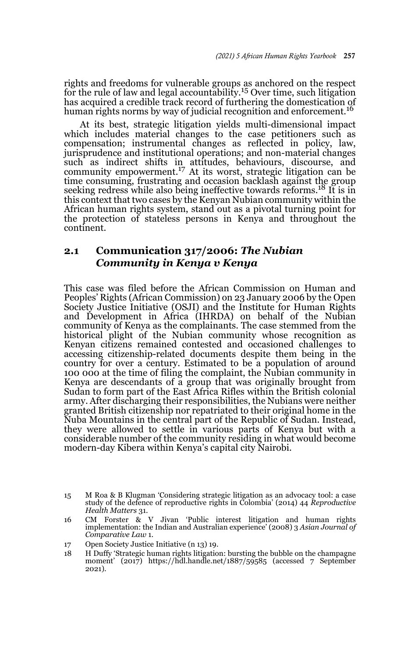rights and freedoms for vulnerable groups as anchored on the respect for the rule of law and legal accountability.<sup>15</sup> Over time, such litigation has acquired a credible track record of furthering the domestication of human rights norms by way of judicial recognition and enforcement.<sup>16</sup>

At its best, strategic litigation yields multi-dimensional impact which includes material changes to the case petitioners such as compensation; instrumental changes as reflected in policy, law, jurisprudence and institutional operations; and non-material changes such as indirect shifts in attitudes, behaviours, discourse, and<br>community empowerment.<sup>17</sup> At its worst, strategic litigation can be time consuming, frustrating and occasion backlash against the group seeking redress while also being ineffective towards reforms.<sup>18</sup> It is in this context that two cases by the Kenyan Nubian community within the African human rights system, stand out as a pivotal turning point for the protection of stateless persons in Kenya and throughout the continent.

### **2.1 Communication 317/2006:** *The Nubian Community in Kenya v Kenya*

This case was filed before the African Commission on Human and Peoples' Rights (African Commission) on 23 January 2006 by the Open Society Justice Initiative (OSJI) and the Institute for Human Rights and Development in Africa (IHRDA) on behalf of the Nubian community of Kenya as the complainants. The case stemmed from the historical plight of the Nubian community whose recognition as Kenyan citizens remained contested and occasioned challenges to accessing citizenship-related documents despite them being in the country for over a century. Estimated to be a population of around 100 000 at the time of filing the complaint, the Nubian community in Kenya are descendants of a group that was originally brought from Sudan to form part of the East Africa Rifles within the British colonial army. After discharging their responsibilities, the Nubians were neither granted British citizenship nor repatriated to their original home in the Nuba Mountains in the central part of the Republic of Sudan. Instead, they were allowed to settle in various parts of Kenya but with a considerable number of the community residing in what would become modern-day Kibera within Kenya's capital city Nairobi.

<sup>15</sup> M Roa & B Klugman 'Considering strategic litigation as an advocacy tool: a case study of the defence of reproductive rights in Colombia' (2014) 44 *Reproductive Health Matters* 31.

<sup>16</sup> CM Forster & V Jivan 'Public interest litigation and human rights implementation: the Indian and Australian experience' (2008) 3 *Asian Journal of Comparative Law* 1.

<sup>17</sup> Open Society Justice Initiative (n 13) 19.

<sup>18</sup> H Duffy 'Strategic human rights litigation: bursting the bubble on the champagne moment' (2017) https://hdl.handle.net/1887/59585 (accessed 7 September 2021).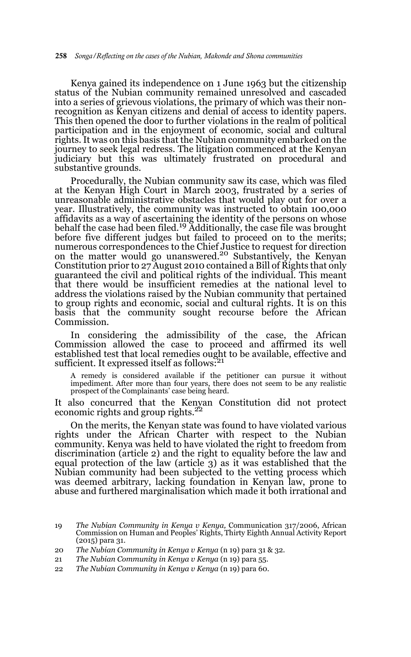Kenya gained its independence on 1 June 1963 but the citizenship status of the Nubian community remained unresolved and cascaded into a series of grievous violations, the primary of which was their nonrecognition as Kenyan citizens and denial of access to identity papers. This then opened the door to further violations in the realm of political participation and in the enjoyment of economic, social and cultural rights. It was on this basis that the Nubian community embarked on the journey to seek legal redress. The litigation commenced at the Kenyan judiciary but this was ultimately frustrated on procedural and substantive grounds.

Procedurally, the Nubian community saw its case, which was filed at the Kenyan High Court in March 2003, frustrated by a series of unreasonable administrative obstacles that would play out for over a year. Illustratively, the community was instructed to obtain 100,000 affidavits as a way of ascertaining the identity of the persons on whose behalf the case had been filed.<sup>19</sup> Additionally, the case file was brought before five different judges but failed to proceed on to the merits; numerous correspondences to the Chief Justice to request for direction<br>on the matter would go unanswered.<sup>20</sup> Substantively, the Kenyan Constitution prior to 27 August 2010 contained a Bill of Rights that only guaranteed the civil and political rights of the individual. This meant that there would be insufficient remedies at the national level to address the violations raised by the Nubian community that pertained to group rights and economic, social and cultural rights. It is on this basis that the community sought recourse before the African Commission.

In considering the admissibility of the case, the African Commission allowed the case to proceed and affirmed its well established test that local remedies ought to be available, effective and sufficient. It expressed itself as follows:<sup>21</sup>

A remedy is considered available if the petitioner can pursue it without impediment. After more than four years, there does not seem to be any realistic prospect of the Complainants' case being heard.

It also concurred that the Kenyan Constitution did not protect economic rights and group rights. $^{22}$ 

On the merits, the Kenyan state was found to have violated various rights under the African Charter with respect to the Nubian community. Kenya was held to have violated the right to freedom from discrimination (article 2) and the right to equality before the law and equal protection of the law (article 3) as it was established that the Nubian community had been subjected to the vetting process which was deemed arbitrary, lacking foundation in Kenyan law, prone to abuse and furthered marginalisation which made it both irrational and

<sup>19</sup> *The Nubian Community in Kenya v Kenya,* Communication 317/2006, African Commission on Human and Peoples' Rights, Thirty Eighth Annual Activity Report (2015) para 31.

<sup>20</sup> *The Nubian Community in Kenya v Kenya* (n 19) para 31 & 32.

<sup>21</sup> *The Nubian Community in Kenya v Kenya* (n 19) para 55.

<sup>22</sup> *The Nubian Community in Kenya v Kenya* (n 19) para 60.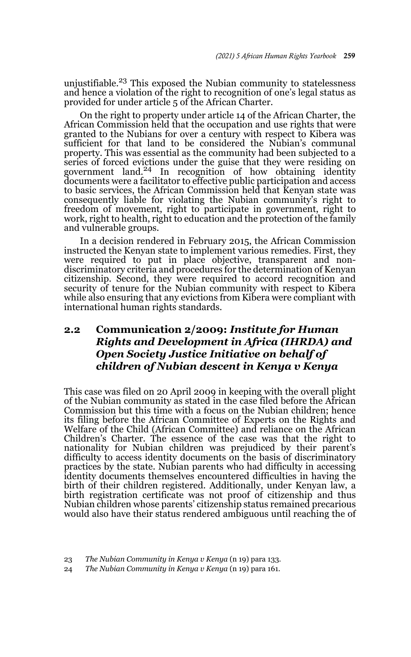unjustifiable.23 This exposed the Nubian community to statelessness and hence a violation of the right to recognition of one's legal status as provided for under article 5 of the African Charter.

On the right to property under article 14 of the African Charter, the African Commission held that the occupation and use rights that were granted to the Nubians for over a century with respect to Kibera was sufficient for that land to be considered the Nubian's communal property. This was essential as the community had been subjected to a series of forced evictions under the guise that they were residing on government land.<sup>24</sup> In recognition of how obtaining identity documents were a facilitator to effective public participation and access to basic services, the African Commission held that Kenyan state was consequently liable for violating the Nubian community's right to freedom of movement, right to participate in government, right to work, right to health, right to education and the protection of the family and vulnerable groups.

In a decision rendered in February 2015, the African Commission instructed the Kenyan state to implement various remedies. First, they were required to put in place objective, transparent and nondiscriminatory criteria and procedures for the determination of Kenyan citizenship. Second, they were required to accord recognition and security of tenure for the Nubian community with respect to Kibera while also ensuring that any evictions from Kibera were compliant with international human rights standards.

## **2.2 Communication 2/2009:** *Institute for Human Rights and Development in Africa (IHRDA) and Open Society Justice Initiative on behalf of children of Nubian descent in Kenya v Kenya*

This case was filed on 20 April 2009 in keeping with the overall plight of the Nubian community as stated in the case filed before the African Commission but this time with a focus on the Nubian children; hence its filing before the African Committee of Experts on the Rights and Welfare of the Child (African Committee) and reliance on the African Children's Charter. The essence of the case was that the right to nationality for Nubian children was prejudiced by their parent's difficulty to access identity documents on the basis of discriminatory practices by the state. Nubian parents who had difficulty in accessing identity documents themselves encountered difficulties in having the birth of their children registered. Additionally, under Kenyan law, a birth registration certificate was not proof of citizenship and thus Nubian children whose parents' citizenship status remained precarious would also have their status rendered ambiguous until reaching the of

<sup>23</sup> *The Nubian Community in Kenya v Kenya* (n 19) para 133.

<sup>24</sup> *The Nubian Community in Kenya v Kenya* (n 19) para 161.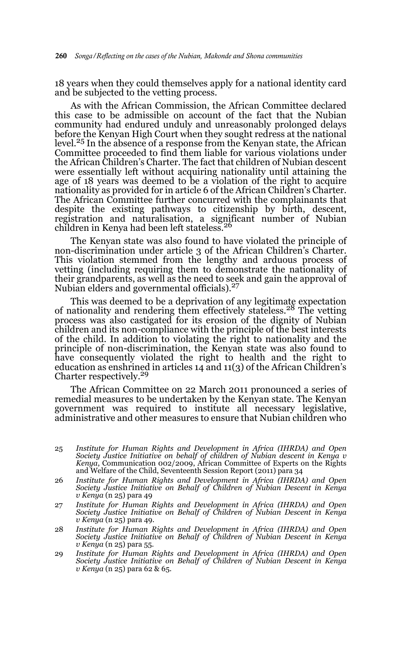18 years when they could themselves apply for a national identity card and be subjected to the vetting process.

As with the African Commission, the African Committee declared this case to be admissible on account of the fact that the Nubian community had endured unduly and unreasonably prolonged delays before the Kenyan High Court when they sought redress at the national level.25 In the absence of a response from the Kenyan state, the African Committee proceeded to find them liable for various violations under the African Children's Charter. The fact that children of Nubian descent were essentially left without acquiring nationality until attaining the age of 18 years was deemed to be a violation of the right to acquire nationality as provided for in article 6 of the African Children's Charter. The African Committee further concurred with the complainants that despite the existing pathways to citizenship by birth, descent, registration and naturalisation, a significant number of Nubian children in Kenya had been left stateless.26

The Kenyan state was also found to have violated the principle of non-discrimination under article 3 of the African Children's Charter. This violation stemmed from the lengthy and arduous process of vetting (including requiring them to demonstrate the nationality of their grandparents, as well as the need to seek and gain the approval of Nubian elders and governmental officials).27

This was deemed to be a deprivation of any legitimate expectation of nationality and rendering them effectively stateless.28 The vetting process was also castigated for its erosion of the dignity of Nubian children and its non-compliance with the principle of the best interests of the child. In addition to violating the right to nationality and the principle of non-discrimination, the Kenyan state was also found to have consequently violated the right to health and the right to education as enshrined in articles 14 and  $11(3)$  of the African Children's Charter respectively.29

The African Committee on 22 March 2011 pronounced a series of remedial measures to be undertaken by the Kenyan state. The Kenyan government was required to institute all necessary legislative, administrative and other measures to ensure that Nubian children who

- 25 *Institute for Human Rights and Development in Africa (IHRDA) and Open Society Justice Initiative on behalf of children of Nubian descent in Kenya v Kenya*, Communication 002/2009, African Committee of Experts on the Rights and Welfare of the Child, Seventeenth Session Report (2011) para 34
- 26 *Institute for Human Rights and Development in Africa (IHRDA) and Open Society Justice Initiative on Behalf of Children of Nubian Descent in Kenya v Kenya* (n 25) para 49
- 27 *Institute for Human Rights and Development in Africa (IHRDA) and Open Society Justice Initiative on Behalf of Children of Nubian Descent in Kenya v Kenya* (n 25) para 49.
- 28 *Institute for Human Rights and Development in Africa (IHRDA) and Open Society Justice Initiative on Behalf of Children of Nubian Descent in Kenya v Kenya* (n 25) para 55.
- 29 *Institute for Human Rights and Development in Africa (IHRDA) and Open Society Justice Initiative on Behalf of Children of Nubian Descent in Kenya v Kenya* (n 25) para 62 & 65.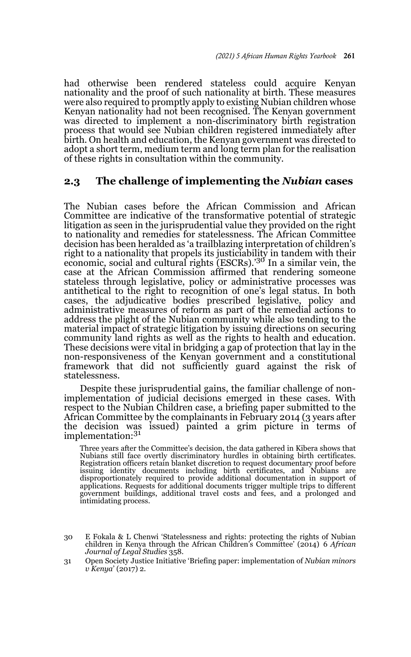had otherwise been rendered stateless could acquire Kenyan nationality and the proof of such nationality at birth. These measures were also required to promptly apply to existing Nubian children whose Kenyan nationality had not been recognised. The Kenyan government was directed to implement a non-discriminatory birth registration process that would see Nubian children registered immediately after birth. On health and education, the Kenyan government was directed to adopt a short term, medium term and long term plan for the realisation of these rights in consultation within the community.

### **2.3 The challenge of implementing the** *Nubian* **cases**

The Nubian cases before the African Commission and African Committee are indicative of the transformative potential of strategic litigation as seen in the jurisprudential value they provided on the right to nationality and remedies for statelessness. The African Committee decision has been heralded as 'a trailblazing interpretation of children's right to a nationality that propels its justiciability in tandem with their economic, social and cultural rights (ESCRs).'30 In a similar vein, the case at the African Commission affirmed that rendering someone stateless through legislative, policy or administrative processes was antithetical to the right to recognition of one's legal status. In both cases, the adjudicative bodies prescribed legislative, policy and administrative measures of reform as part of the remedial actions to address the plight of the Nubian community while also tending to the material impact of strategic litigation by issuing directions on securing community land rights as well as the rights to health and education. These decisions were vital in bridging a gap of protection that lay in the non-responsiveness of the Kenyan government and a constitutional framework that did not sufficiently guard against the risk of statelessness.

Despite these jurisprudential gains, the familiar challenge of nonimplementation of judicial decisions emerged in these cases. With respect to the Nubian Children case, a briefing paper submitted to the African Committee by the complainants in February 2014 (3 years after the decision was issued) painted a grim picture in terms of implementation:<sup>31</sup>

Three years after the Committee's decision, the data gathered in Kibera shows that Nubians still face overtly discriminatory hurdles in obtaining birth certificates. Registration officers retain blanket discretion to request documentary proof before issuing identity documents including birth certificates, and Nubians are disproportionately required to provide additional documentation in support of applications. Requests for additional documents trigger multiple trips to different government buildings, additional travel costs and fees, and a prolonged and intimidating process.

<sup>30</sup> E Fokala & L Chenwi 'Statelessness and rights: protecting the rights of Nubian children in Kenya through the African Children's Committee' (2014) 6 *African Journal of Legal Studies* 358.

<sup>31</sup> Open Society Justice Initiative 'Briefing paper: implementation of *Nubian minors v Kenya*' (2017) 2.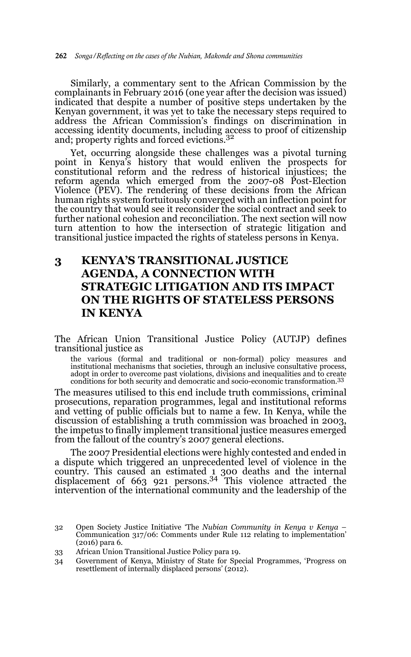Similarly, a commentary sent to the African Commission by the complainants in February 2016 (one year after the decision was issued) indicated that despite a number of positive steps undertaken by the Kenyan government, it was yet to take the necessary steps required to address the African Commission's findings on discrimination in accessing identity documents, including access to proof of citizenship and; property rights and forced evictions.<sup>32</sup>

Yet, occurring alongside these challenges was a pivotal turning point in Kenya's history that would enliven the prospects for constitutional reform and the redress of historical injustices; the reform agenda which emerged from the 2007-08 Post-Election Violence (PEV). The rendering of these decisions from the African human rights system fortuitously converged with an inflection point for the country that would see it reconsider the social contract and seek to further national cohesion and reconciliation. The next section will now turn attention to how the intersection of strategic litigation and transitional justice impacted the rights of stateless persons in Kenya.

# **3 KENYA'S TRANSITIONAL JUSTICE AGENDA, A CONNECTION WITH STRATEGIC LITIGATION AND ITS IMPACT ON THE RIGHTS OF STATELESS PERSONS IN KENYA**

The African Union Transitional Justice Policy (AUTJP) defines transitional justice as

the various (formal and traditional or non-formal) policy measures and institutional mechanisms that societies, through an inclusive consultative process, adopt in order to overcome past violations, divisions and inequalities and to create conditions for both security and democratic and socio-economic transformation.<sup>33</sup>

The measures utilised to this end include truth commissions, criminal prosecutions, reparation programmes, legal and institutional reforms and vetting of public officials but to name a few. In Kenya, while the discussion of establishing a truth commission was broached in 2003, the impetus to finally implement transitional justice measures emerged from the fallout of the country's 2007 general elections.

The 2007 Presidential elections were highly contested and ended in a dispute which triggered an unprecedented level of violence in the country. This caused an estimated 1 300 deaths and the internal displacement of 663 921 persons.34 This violence attracted the intervention of the international community and the leadership of the

<sup>32</sup> Open Society Justice Initiative 'The *Nubian Community in Kenya v Kenya* – Communication 317/06: Comments under Rule 112 relating to implementation' (2016) para 6.

<sup>33</sup> African Union Transitional Justice Policy para 19.

<sup>34</sup> Government of Kenya, Ministry of State for Special Programmes, 'Progress on resettlement of internally displaced persons' (2012).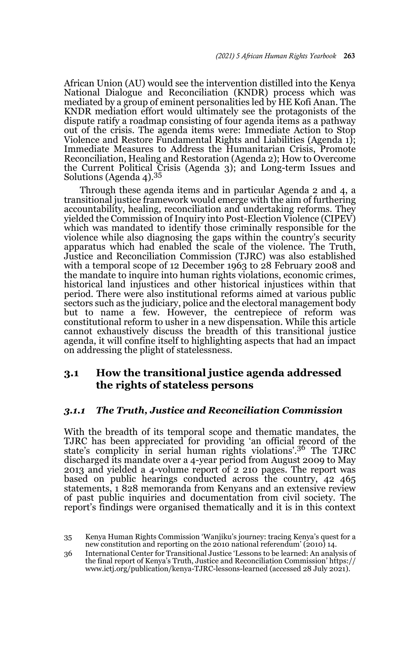African Union (AU) would see the intervention distilled into the Kenya National Dialogue and Reconciliation (KNDR) process which was mediated by a group of eminent personalities led by HE Kofi Anan. The KNDR mediation effort would ultimately see the protagonists of the dispute ratify a roadmap consisting of four agenda items as a pathway out of the crisis. The agenda items were: Immediate Action to Stop Violence and Restore Fundamental Rights and Liabilities (Agenda 1); Immediate Measures to Address the Humanitarian Crisis, Promote Reconciliation, Healing and Restoration (Agenda 2); How to Overcome the Current Political Crisis (Agenda 3); and Long-term Issues and Solutions (Agenda 4). $35$ 

Through these agenda items and in particular Agenda 2 and 4, a transitional justice framework would emerge with the aim of furthering accountability, healing, reconciliation and undertaking reforms. They yielded the Commission of Inquiry into Post-Election Violence (CIPEV) which was mandated to identify those criminally responsible for the violence while also diagnosing the gaps within the country's security apparatus which had enabled the scale of the violence. The Truth, Justice and Reconciliation Commission (TJRC) was also established with a temporal scope of 12 December 1963 to 28 February 2008 and the mandate to inquire into human rights violations, economic crimes, historical land injustices and other historical injustices within that period. There were also institutional reforms aimed at various public sectors such as the judiciary, police and the electoral management body but to name a few. However, the centrepiece of reform was constitutional reform to usher in a new dispensation. While this article cannot exhaustively discuss the breadth of this transitional justice agenda, it will confine itself to highlighting aspects that had an impact on addressing the plight of statelessness.

### **3.1 How the transitional justice agenda addressed the rights of stateless persons**

#### *3.1.1 The Truth, Justice and Reconciliation Commission*

With the breadth of its temporal scope and thematic mandates, the TJRC has been appreciated for providing 'an official record of the state's complicity in serial human rights violations'.36 The TJRC discharged its mandate over a 4-year period from August 2009 to May 2013 and yielded a 4-volume report of 2 210 pages. The report was based on public hearings conducted across the country, 42 465 statements, 1 828 memoranda from Kenyans and an extensive review of past public inquiries and documentation from civil society. The report's findings were organised thematically and it is in this context

<sup>35</sup> Kenya Human Rights Commission 'Wanjiku's journey: tracing Kenya's quest for a new constitution and reporting on the 2010 national referendum' (2010) 14.

<sup>36</sup> International Center for Transitional Justice 'Lessons to be learned: An analysis of the final report of Kenya's Truth, Justice and Reconciliation Commission' https:// www.ictj.org/publication/kenya-TJRC-lessons-learned (accessed 28 July 2021).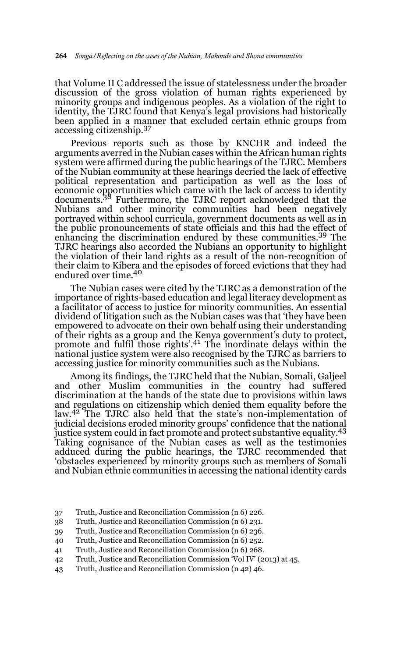that Volume II C addressed the issue of statelessness under the broader discussion of the gross violation of human rights experienced by minority groups and indigenous peoples. As a violation of the right to identity, the TJRC found that Kenya's legal provisions had historically been applied in a manner that excluded certain ethnic groups from accessing citizenship.37

Previous reports such as those by KNCHR and indeed the arguments averred in the Nubian cases within the African human rights system were affirmed during the public hearings of the TJRC. Members of the Nubian community at these hearings decried the lack of effective political representation and participation as well as the loss of economic opportunities which came with the lack of access to identity<br>documents.<sup>38</sup> Furthermore, the TJRC report acknowledged that the Nubians and other minority communities had been negatively portrayed within school curricula, government documents as well as in the public pronouncements of state officials and this had the effect of enhancing the discrimination endured by these communities.<sup>39</sup> The TJRC hearings also accorded the Nubians an opportunity to highlight the violation of their land rights as a result of the non-recognition of their claim to Kibera and the episodes of forced evictions that they had endured over time.40

The Nubian cases were cited by the TJRC as a demonstration of the importance of rights-based education and legal literacy development as a facilitator of access to justice for minority communities. An essential dividend of litigation such as the Nubian cases was that 'they have been empowered to advocate on their own behalf using their understanding of their rights as a group and the Kenya government's duty to protect,<br>promote and fulfil those rights'.<sup>41</sup> The inordinate delays within the national justice system were also recognised by the TJRC as barriers to accessing justice for minority communities such as the Nubians.

Among its findings, the TJRC held that the Nubian, Somali, Galjeel and other Muslim communities in the country had suffered discrimination at the hands of the state due to provisions within laws and regulations on citizenship which denied them equality before the law.<sup>42</sup> The TJRC also held that the state's non-implementation of judicial decisions eroded minority groups' confidence that the national justice system could in fact promote and protect substantive equality.<sup>43</sup> Taking cognisance of the Nubian cases as well as the testimonies adduced during the public hearings, the TJRC recommended that 'obstacles experienced by minority groups such as members of Somali and Nubian ethnic communities in accessing the national identity cards

- 37 Truth, Justice and Reconciliation Commission (n 6) 226.
- 38 Truth, Justice and Reconciliation Commission (n 6) 231.
- 39 Truth, Justice and Reconciliation Commission (n 6) 236.
- 40 Truth, Justice and Reconciliation Commission (n 6) 252.
- 41 Truth, Justice and Reconciliation Commission (n 6) 268.
- 42 Truth, Justice and Reconciliation Commission 'Vol IV' (2013) at 45.
- 43 Truth, Justice and Reconciliation Commission (n 42) 46.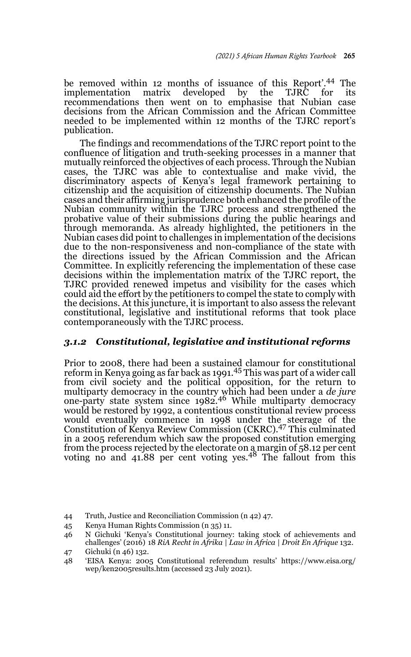be removed within 12 months of issuance of this Report<sup>7</sup>.<sup>44</sup> The implementation matrix developed by the TJRC for its developed by recommendations then went on to emphasise that Nubian case decisions from the African Commission and the African Committee needed to be implemented within 12 months of the TJRC report's publication.

The findings and recommendations of the TJRC report point to the confluence of litigation and truth-seeking processes in a manner that mutually reinforced the objectives of each process. Through the Nubian cases, the TJRC was able to contextualise and make vivid, the discriminatory aspects of Kenya's legal framework pertaining to citizenship and the acquisition of citizenship documents. The Nubian cases and their affirming jurisprudence both enhanced the profile of the Nubian community within the TJRC process and strengthened the probative value of their submissions during the public hearings and through memoranda. As already highlighted, the petitioners in the Nubian cases did point to challenges in implementation of the decisions due to the non-responsiveness and non-compliance of the state with the directions issued by the African Commission and the African Committee. In explicitly referencing the implementation of these case decisions within the implementation matrix of the TJRC report, the TJRC provided renewed impetus and visibility for the cases which could aid the effort by the petitioners to compel the state to comply with the decisions. At this juncture, it is important to also assess the relevant constitutional, legislative and institutional reforms that took place contemporaneously with the TJRC process.

#### *3.1.2 Constitutional, legislative and institutional reforms*

Prior to 2008, there had been a sustained clamour for constitutional reform in Kenya going as far back as 1991.45 This was part of a wider call from civil society and the political opposition, for the return to multiparty democracy in the country which had been under a *de jure* one-party state system since 1982.<sup>46</sup> While multiparty democracy would be restored by 1992, a contentious constitutional review process would eventually commence in 1998 under the steerage of the<br>Constitution of Kenya Review Commission (CKRC).<sup>47</sup> This culminated in a 2005 referendum which saw the proposed constitution emerging from the process rejected by the electorate on a margin of 58.12 per cent voting no and 41.88 per cent voting yes.<sup>48</sup> The fallout from this

- 44 Truth, Justice and Reconciliation Commission (n 42) 47.
- 45 Kenya Human Rights Commission (n 35) 11.

<sup>46</sup> N Gichuki 'Kenya's Constitutional journey: taking stock of achievements and challenges' (2016) 18 *RiA Recht in Afrika | Law in Africa | Droit En Afrique* 132.

<sup>47</sup> Gichuki (n 46) 132.

<sup>48 &#</sup>x27;EISA Kenya: 2005 Constitutional referendum results' https://www.eisa.org/ wep/ken2005results.htm (accessed 23 July 2021).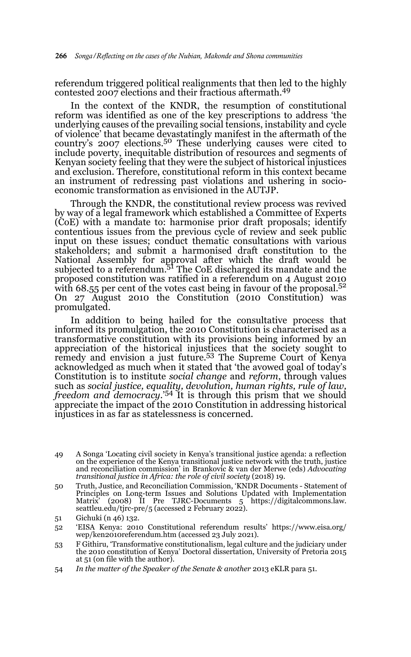referendum triggered political realignments that then led to the highly contested 2007 elections and their fractious aftermath.49

In the context of the KNDR, the resumption of constitutional reform was identified as one of the key prescriptions to address 'the underlying causes of the prevailing social tensions, instability and cycle of violence' that became devastatingly manifest in the aftermath of the country's 2007 elections.<sup>50</sup> These underlying causes were cited to include poverty, inequitable distribution of resources and segments of Kenyan society feeling that they were the subject of historical injustices and exclusion. Therefore, constitutional reform in this context became an instrument of redressing past violations and ushering in socioeconomic transformation as envisioned in the AUTJP.

Through the KNDR, the constitutional review process was revived by way of a legal framework which established a Committee of Experts (CoE) with a mandate to: harmonise prior draft proposals; identify contentious issues from the previous cycle of review and seek public input on these issues; conduct thematic consultations with various stakeholders; and submit a harmonised draft constitution to the National Assembly for approval after which the draft would be<br>subjected to a referendum.<sup>51</sup> The CoE discharged its mandate and the proposed constitution was ratified in a referendum on 4 August 2010 with 68.55 per cent of the votes cast being in favour of the proposal.<sup>52</sup> On 27 August 2010 the Constitution (2010 Constitution) was promulgated.

In addition to being hailed for the consultative process that informed its promulgation, the 2010 Constitution is characterised as a transformative constitution with its provisions being informed by an appreciation of the historical injustices that the society sought to remedy and envision a just future.<sup>53</sup> The Supreme Court of Kenya acknowledged as much when it stated that 'the avowed goal of today's Constitution is to institute *social change* and *reform*, through values such as *social justice, equality, devolution, human rights, rule of law, freedom and democracy.*' 54 It is through this prism that we should appreciate the impact of the 2010 Constitution in addressing historical injustices in as far as statelessness is concerned.

<sup>49</sup> A Songa 'Locating civil society in Kenya's transitional justice agenda: a reflection on the experience of the Kenya transitional justice network with the truth, justice and reconciliation commission' in Brankovic & van der Merwe (eds) *Advocating transitional justice in Africa: the role of civil society* (2018) 19.

<sup>50</sup> Truth, Justice, and Reconciliation Commission, 'KNDR Documents - Statement of Principles on Long-term Issues and Solutions Updated with Implementation Matrix' (2008) II Pre TJRC-Documents 5 https://digitalcommons.law. seattleu.edu/tjrc-pre/5 (accessed 2 February 2022).

<sup>51</sup> Gichuki (n 46) 132.

<sup>52 &#</sup>x27;EISA Kenya: 2010 Constitutional referendum results' https://www.eisa.org/ wep/ken2010referendum.htm (accessed 23 July 2021).

<sup>53</sup> F Githiru, 'Transformative constitutionalism, legal culture and the judiciary under the 2010 constitution of Kenya' Doctoral dissertation, University of Pretoria 2015 at 51 (on file with the author).

<sup>54</sup> *In the matter of the Speaker of the Senate & another* 2013 eKLR para 51.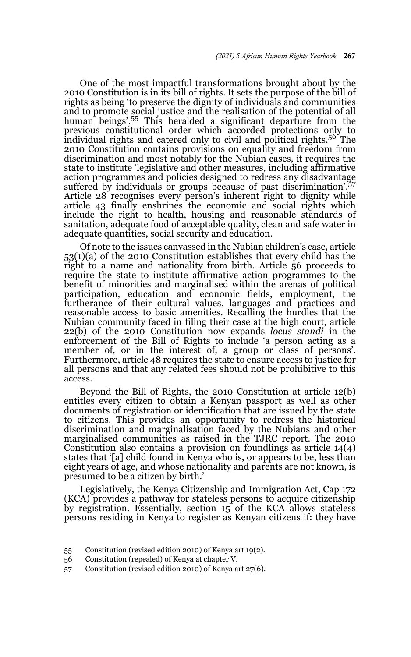One of the most impactful transformations brought about by the 2010 Constitution is in its bill of rights. It sets the purpose of the bill of rights as being 'to preserve the dignity of individuals and communities and to promote social justice and the realisation of the potential of all human beings'.<sup>55</sup> This heralded a significant departure from the previous constitutional order which accorded protections only to individual rights and catered only to civil and political rights.56 The 2010 Constitution contains provisions on equality and freedom from discrimination and most notably for the Nubian cases, it requires the state to institute 'legislative and other measures, including affirmative action programmes and policies designed to redress any disadvantage suffered by individuals or groups because of past discrimination<sup>'.57</sup> Article 28 recognises every person's inherent right to dignity while article 43 finally enshrines the economic and social rights which include the right to health, housing and reasonable standards of sanitation, adequate food of acceptable quality, clean and safe water in adequate quantities, social security and education.

Of note to the issues canvassed in the Nubian children's case, article 53(1)(a) of the 2010 Constitution establishes that every child has the right to a name and nationality from birth. Article 56 proceeds to require the state to institute affirmative action programmes to the benefit of minorities and marginalised within the arenas of political participation, education and economic fields, employment, the furtherance of their cultural values, languages and practices and reasonable access to basic amenities. Recalling the hurdles that the Nubian community faced in filing their case at the high court, article 22(b) of the 2010 Constitution now expands *locus standi* in the enforcement of the Bill of Rights to include 'a person acting as a member of, or in the interest of, a group or class of persons'. Furthermore, article 48 requires the state to ensure access to justice for all persons and that any related fees should not be prohibitive to this access.

Beyond the Bill of Rights, the 2010 Constitution at article 12(b) entitles every citizen to obtain a Kenyan passport as well as other documents of registration or identification that are issued by the state to citizens. This provides an opportunity to redress the historical discrimination and marginalisation faced by the Nubians and other marginalised communities as raised in the TJRC report. The 2010 Constitution also contains a provision on foundlings as article 14(4) states that '[a] child found in Kenya who is, or appears to be, less than eight years of age, and whose nationality and parents are not known, is presumed to be a citizen by birth.'

Legislatively, the Kenya Citizenship and Immigration Act, Cap 172 (KCA) provides a pathway for stateless persons to acquire citizenship by registration. Essentially, section 15 of the KCA allows stateless persons residing in Kenya to register as Kenyan citizens if: they have

- 55 Constitution (revised edition 2010) of Kenya art 19(2).
- 56 Constitution (repealed) of Kenya at chapter V.
- 57 Constitution (revised edition 2010) of Kenya art 27(6).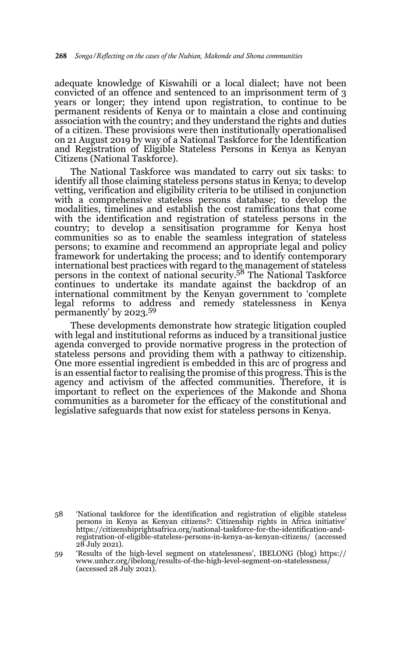adequate knowledge of Kiswahili or a local dialect; have not been convicted of an offence and sentenced to an imprisonment term of 3 years or longer; they intend upon registration, to continue to be permanent residents of Kenya or to maintain a close and continuing association with the country; and they understand the rights and duties of a citizen. These provisions were then institutionally operationalised on 21 August 2019 by way of a National Taskforce for the Identification and Registration of Eligible Stateless Persons in Kenya as Kenyan Citizens (National Taskforce).

The National Taskforce was mandated to carry out six tasks: to identify all those claiming stateless persons status in Kenya; to develop vetting, verification and eligibility criteria to be utilised in conjunction with a comprehensive stateless persons database; to develop the modalities, timelines and establish the cost ramifications that come with the identification and registration of stateless persons in the country; to develop a sensitisation programme for Kenya host communities so as to enable the seamless integration of stateless persons; to examine and recommend an appropriate legal and policy framework for undertaking the process; and to identify contemporary international best practices with regard to the management of stateless persons in the context of national security.58 The National Taskforce continues to undertake its mandate against the backdrop of an international commitment by the Kenyan government to 'complete legal reforms to address and remedy statelessness in Kenya permanently' by 2023.59

These developments demonstrate how strategic litigation coupled with legal and institutional reforms as induced by a transitional justice agenda converged to provide normative progress in the protection of stateless persons and providing them with a pathway to citizenship. One more essential ingredient is embedded in this arc of progress and is an essential factor to realising the promise of this progress. This is the agency and activism of the affected communities. Therefore, it is important to reflect on the experiences of the Makonde and Shona communities as a barometer for the efficacy of the constitutional and legislative safeguards that now exist for stateless persons in Kenya.

<sup>58 &#</sup>x27;National taskforce for the identification and registration of eligible stateless persons in Kenya as Kenyan citizens?: Citizenship rights in Africa initiative' https://citizenshiprightsafrica.org/national-taskforce-for-the-identification-andregistration-of-eligible-stateless-persons-in-kenya-as-kenyan-citizens/ (accessed 28 July 2021).

<sup>59 &#</sup>x27;Results of the high-level segment on statelessness', IBELONG (blog) https:// www.unhcr.org/ibelong/results-of-the-high-level-segment-on-statelessness/ (accessed 28 July 2021).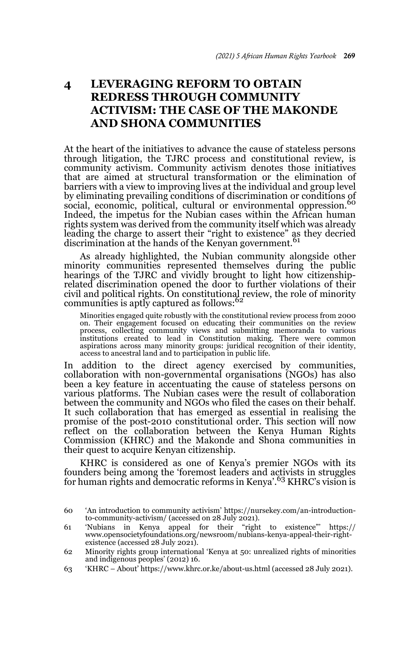# **4 LEVERAGING REFORM TO OBTAIN REDRESS THROUGH COMMUNITY ACTIVISM: THE CASE OF THE MAKONDE AND SHONA COMMUNITIES**

At the heart of the initiatives to advance the cause of stateless persons through litigation, the TJRC process and constitutional review, is community activism. Community activism denotes those initiatives that are aimed at structural transformation or the elimination of barriers with a view to improving lives at the individual and group level by eliminating prevailing conditions of discrimination or conditions of social, economic, political, cultural or environmental oppression.<sup>60</sup> Indeed, the impetus for the Nubian cases within the African human rights system was derived from the community itself which was already leading the charge to assert their "right to existence" as they decried discrimination at the hands of the Kenyan government.<sup>61</sup>

As already highlighted, the Nubian community alongside other minority communities represented themselves during the public hearings of the TJRC and vividly brought to light how citizenshiprelated discrimination opened the door to further violations of their civil and political rights. On constitutional review, the role of minority<br>communities is aptly captured as follows:<sup>62</sup>

Minorities engaged quite robustly with the constitutional review process from 2000 on. Their engagement focused on educating their communities on the review process, collecting community views and submitting memoranda to various institutions created to lead in Constitution making. There were common aspirations across many minority groups: juridical recognition of their identity, access to ancestral land and to participation in public life.

In addition to the direct agency exercised by communities, collaboration with non-governmental organisations (NGOs) has also been a key feature in accentuating the cause of stateless persons on various platforms. The Nubian cases were the result of collaboration between the community and NGOs who filed the cases on their behalf. It such collaboration that has emerged as essential in realising the promise of the post-2010 constitutional order. This section will now reflect on the collaboration between the Kenya Human Rights Commission (KHRC) and the Makonde and Shona communities in their quest to acquire Kenyan citizenship.

KHRC is considered as one of Kenya's premier NGOs with its founders being among the 'foremost leaders and activists in struggles for human rights and democratic reforms in Kenya'.<sup>63</sup> KHRC's vision is

63 'KHRC – About' https://www.khrc.or.ke/about-us.html (accessed 28 July 2021).

<sup>60 &#</sup>x27;An introduction to community activism' https://nursekey.com/an-introductionto-community-activism/ (accessed on  $28$  July  $2021$ ).

<sup>61 &#</sup>x27;Nubians in Kenya appeal for their "right to existence"' https:// www.opensocietyfoundations.org/newsroom/nubians-kenya-appeal-their-rightexistence (accessed 28 July 2021).

<sup>62</sup> Minority rights group international 'Kenya at 50: unrealized rights of minorities and indigenous peoples' (2012) 16.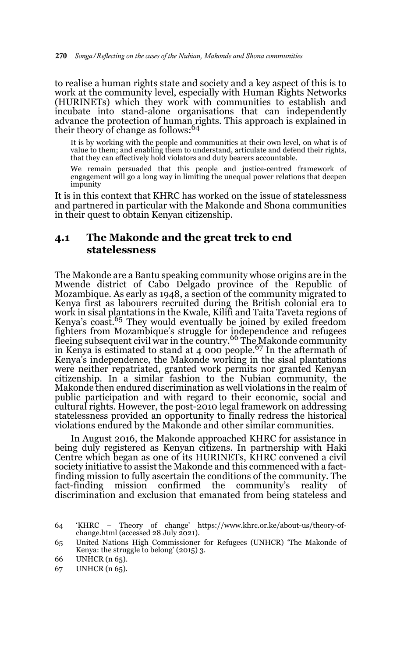to realise a human rights state and society and a key aspect of this is to work at the community level, especially with Human Rights Networks (HURINETs) which they work with communities to establish and incubate into stand-alone organisations that can independently advance the protection of human rights. This approach is explained in their theory of change as follows:<sup>64</sup>

It is by working with the people and communities at their own level, on what is of value to them; and enabling them to understand, articulate and defend their rights, that they can effectively hold violators and duty bearers accountable.

We remain persuaded that this people and justice-centred framework of engagement will go a long way in limiting the unequal power relations that deepen impunity

It is in this context that KHRC has worked on the issue of statelessness and partnered in particular with the Makonde and Shona communities in their quest to obtain Kenyan citizenship.

### **4.1 The Makonde and the great trek to end statelessness**

The Makonde are a Bantu speaking community whose origins are in the Mwende district of Cabo Delgado province of the Republic of Mozambique. As early as 1948, a section of the community migrated to Kenya first as labourers recruited during the British colonial era to work in sisal plantations in the Kwale, Kilifi and Taita Taveta regions of Kenya's coast.<sup>65</sup> They would eventually be joined by exiled freedom fighters from Mozambique's struggle for independence and refugees<br>fleeing subsequent civil war in the country.<sup>66</sup> The Makonde community in Kenya is estimated to stand at  $4\,000$  people.<sup>67</sup> In the aftermath of Kenya's independence, the Makonde working in the sisal plantations were neither repatriated, granted work permits nor granted Kenyan citizenship. In a similar fashion to the Nubian community, the Makonde then endured discrimination as well violations in the realm of public participation and with regard to their economic, social and cultural rights. However, the post-2010 legal framework on addressing statelessness provided an opportunity to finally redress the historical violations endured by the Makonde and other similar communities.

In August 2016, the Makonde approached KHRC for assistance in being duly registered as Kenyan citizens. In partnership with Haki Centre which began as one of its HURINETs, KHRC convened a civil society initiative to assist the Makonde and this commenced with a factfinding mission to fully ascertain the conditions of the community. The fact-finding mission confirmed the community's reality of discrimination and exclusion that emanated from being stateless and

<sup>64 &#</sup>x27;KHRC – Theory of change' https://www.khrc.or.ke/about-us/theory-ofchange.html (accessed 28 July 2021).

<sup>65</sup> United Nations High Commissioner for Refugees (UNHCR) 'The Makonde of Kenya: the struggle to belong' (2015) 3.

<sup>66</sup> UNHCR (n 65).

<sup>67</sup> UNHCR (n 65).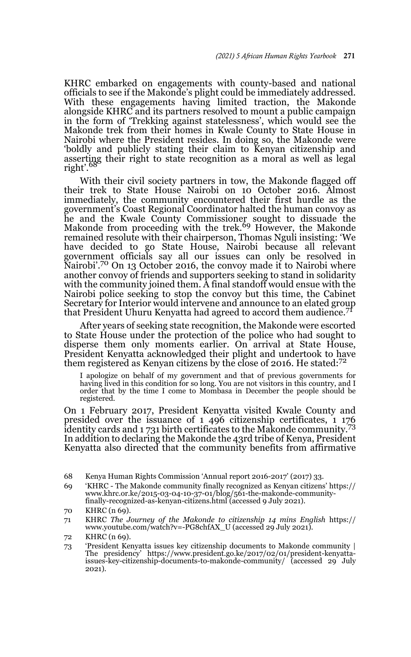KHRC embarked on engagements with county-based and national officials to see if the Makonde's plight could be immediately addressed. With these engagements having limited traction, the Makonde alongside KHRC and its partners resolved to mount a public campaign in the form of 'Trekking against statelessness', which would see the Makonde trek from their homes in Kwale County to State House in Nairobi where the President resides. In doing so, the Makonde were 'boldly and publicly stating their claim to Kenyan citizenship and asserting their right to state recognition as a moral as well as legal right'.<sup>6</sup>

With their civil society partners in tow, the Makonde flagged off their trek to State House Nairobi on 10 October 2016. Almost immediately, the community encountered their first hurdle as the government's Coast Regional Coordinator halted the human convoy as he and the Kwale County Commissioner sought to dissuade the<br>Makonde from proceeding with the trek.<sup>69</sup> However, the Makonde remained resolute with their chairperson, Thomas Nguli insisting: 'We have decided to go State House, Nairobi because all relevant government officials say all our issues can only be resolved in Nairobi'.70 On 13 October 2016, the convoy made it to Nairobi where another convoy of friends and supporters seeking to stand in solidarity with the community joined them. A final standoff would ensue with the Nairobi police seeking to stop the convoy but this time, the Cabinet Secretary for Interior would intervene and announce to an elated group that President Uhuru Kenyatta had agreed to accord them audience.<sup>71</sup>

After years of seeking state recognition, the Makonde were escorted to State House under the protection of the police who had sought to disperse them only moments earlier. On arrival at State House, President Kenyatta acknowledged their plight and undertook to have them registered as Kenyan citizens by the close of 2016. He stated:<sup>72</sup>

I apologize on behalf of my government and that of previous governments for having lived in this condition for so long. You are not visitors in this country, and I order that by the time I come to Mombasa in December the people should be registered.

On 1 February 2017, President Kenyatta visited Kwale County and presided over the issuance of 1 496 citizenship certificates, 1 176 identity cards and 1731 birth certificates to the Makonde community.<sup>73</sup> In addition to declaring the Makonde the 43rd tribe of Kenya, President Kenyatta also directed that the community benefits from affirmative

69 'KHRC - The Makonde community finally recognized as Kenyan citizens' https:// www.khrc.or.ke/2015-03-04-10-37-01/blog/561-the-makonde-communityfinally-recognized-as-kenyan-citizens.html (accessed 9 July 2021).

<sup>68</sup> Kenya Human Rights Commission 'Annual report 2016-2017' (2017) 33.

<sup>70</sup> KHRC (n 69).

<sup>71</sup> KHRC *The Journey of the Makonde to citizenship 14 mins English* https:// www.youtube.com/watch?v=-PG8chfAX\_U (accessed 29 July 2021).

<sup>72</sup> KHRC (n 69).

<sup>73 &#</sup>x27;President Kenyatta issues key citizenship documents to Makonde community | The presidency' https://www.president.go.ke/2017/02/01/president-kenyattaissues-key-citizenship-documents-to-makonde-community/ (accessed 29 July 2021).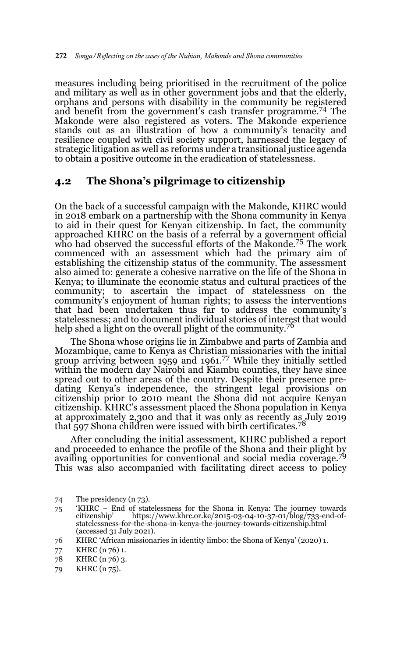measures including being prioritised in the recruitment of the police and military as well as in other government jobs and that the elderly, orphans and persons with disability in the community be registered and benefit from the government's cash transfer programme.74 The Makonde were also registered as voters. The Makonde experience stands out as an illustration of how a community's tenacity and resilience coupled with civil society support, harnessed the legacy of strategic litigation as well as reforms under a transitional justice agenda to obtain a positive outcome in the eradication of statelessness.

### **4.2 The Shona's pilgrimage to citizenship**

On the back of a successful campaign with the Makonde, KHRC would in 2018 embark on a partnership with the Shona community in Kenya to aid in their quest for Kenyan citizenship. In fact, the community approached KHRC on the basis of a referral by a government official who had observed the successful efforts of the Makonde.<sup>75</sup> The work commenced with an assessment which had the primary aim of establishing the citizenship status of the community. The assessment also aimed to: generate a cohesive narrative on the life of the Shona in Kenya; to illuminate the economic status and cultural practices of the community; to ascertain the impact of statelessness on the community's enjoyment of human rights; to assess the interventions that had been undertaken thus far to address the community's statelessness; and to document individual stories of interest that would help shed a light on the overall plight of the community.<sup>76</sup>

The Shona whose origins lie in Zimbabwe and parts of Zambia and Mozambique, came to Kenya as Christian missionaries with the initial group arriving between 1959 and 1961.77 While they initially settled within the modern day Nairobi and Kiambu counties, they have since spread out to other areas of the country. Despite their presence predating Kenya's independence, the stringent legal provisions on citizenship prior to 2010 meant the Shona did not acquire Kenyan citizenship. KHRC's assessment placed the Shona population in Kenya at approximately 2,300 and that it was only as recently as July 2019 that  $597$  Shona children were issued with birth certificates.<sup>78</sup>

After concluding the initial assessment, KHRC published a report and proceeded to enhance the profile of the Shona and their plight by availing opportunities for conventional and social media coverage.<sup>79</sup> This was also accompanied with facilitating direct access to policy

- 78 KHRC (n 76) 3.
- 79 KHRC (n 75).

<sup>74</sup> The presidency (n 73).

<sup>75 &#</sup>x27;KHRC – End of statelessness for the Shona in Kenya: The journey towards citizenship' https://www.khrc.or.ke/2015-03-04-10-37-01/blog/733-end-ofstatelessness-for-the-shona-in-kenya-the-journey-towards-citizenship.html (accessed 31 July 2021).

<sup>76</sup> KHRC 'African missionaries in identity limbo: the Shona of Kenya' (2020) 1.

<sup>77</sup> KHRC (n 76) 1.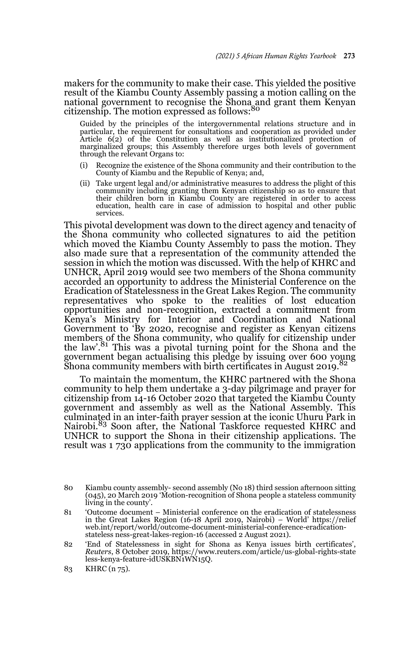makers for the community to make their case. This yielded the positive result of the Kiambu County Assembly passing a motion calling on the national government to recognise the Shona and grant them Kenyan citizenship. The motion expressed as follows:<sup>80</sup>

Guided by the principles of the intergovernmental relations structure and in particular, the requirement for consultations and cooperation as provided under Article 6(2) of the Constitution as well as institutionalized protection of marginalized groups; this Assembly therefore urges both levels of government through the relevant Organs to:

- Recognize the existence of the Shona community and their contribution to the County of Kiambu and the Republic of Kenya; and,
- (ii) Take urgent legal and/or administrative measures to address the plight of this community including granting them Kenyan citizenship so as to ensure that their children born in Kiambu County are registered in order to access education, health care in case of admission to hospital and other public services.

This pivotal development was down to the direct agency and tenacity of the Shona community who collected signatures to aid the petition which moved the Kiambu County Assembly to pass the motion. They also made sure that a representation of the community attended the session in which the motion was discussed. With the help of KHRC and UNHCR, April 2019 would see two members of the Shona community accorded an opportunity to address the Ministerial Conference on the Eradication of Statelessness in the Great Lakes Region. The community representatives who spoke to the realities of lost education opportunities and non-recognition, extracted a commitment from Kenya's Ministry for Interior and Coordination and National Government to 'By 2020, recognise and register as Kenyan citizens members of the Shona community, who qualify for citizenship under the law'.<sup>81</sup> This was a pivotal turning point for the Shona and the government began actualising this pledge by issuing over 600 young Shona community members with birth certificates in August 2019.<sup>82</sup>

To maintain the momentum, the KHRC partnered with the Shona community to help them undertake a 3-day pilgrimage and prayer for citizenship from 14-16 October 2020 that targeted the Kiambu County government and assembly as well as the National Assembly. This culminated in an inter-faith prayer session at the iconic Uhuru Park in Nairobi.<sup>83</sup> Soon after, the National Taskforce requested KHRC and UNHCR to support the Shona in their citizenship applications. The result was 1 730 applications from the community to the immigration

<sup>80</sup> Kiambu county assembly- second assembly (No 18) third session afternoon sitting (045), 20 March 2019 'Motion-recognition of Shona people a stateless community living in the county'.

<sup>81 &#</sup>x27;Outcome document – Ministerial conference on the eradication of statelessness in the Great Lakes Region (16-18 April 2019, Nairobi) – World' https://relief web.int/report/world/outcome-document-ministerial-conference-eradicationstateless ness-great-lakes-region-16 (accessed 2 August 2021).

<sup>82 &#</sup>x27;End of Statelessness in sight for Shona as Kenya issues birth certificates', *Reuters*, 8 October 2019, https://www.reuters.com/article/us-global-rights-state less-kenya-feature-idUSKBN1WN15Q.

<sup>83</sup> KHRC (n 75).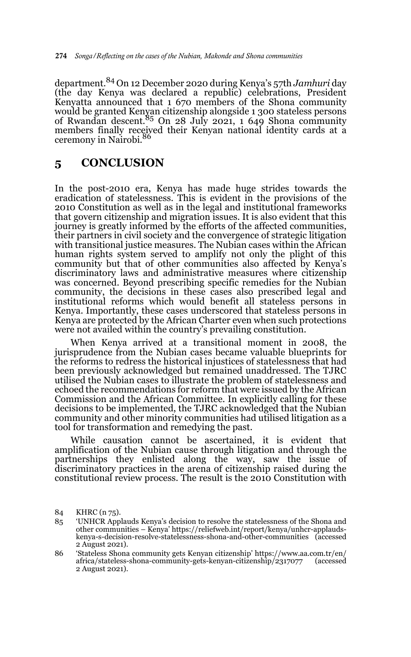department.84 On 12 December 2020 during Kenya's 57th *Jamhuri* day (the day Kenya was declared a republic) celebrations, President Kenyatta announced that 1 670 members of the Shona community would be granted Kenyan citizenship alongside 1 300 stateless persons of Rwandan descent.85 On 28 July 2021, 1 649 Shona community members finally received their Kenyan national identity cards at a ceremony in Nairobi.<sup>86</sup>

# **5 CONCLUSION**

In the post-2010 era, Kenya has made huge strides towards the eradication of statelessness. This is evident in the provisions of the 2010 Constitution as well as in the legal and institutional frameworks that govern citizenship and migration issues. It is also evident that this journey is greatly informed by the efforts of the affected communities, their partners in civil society and the convergence of strategic litigation with transitional justice measures. The Nubian cases within the African human rights system served to amplify not only the plight of this community but that of other communities also affected by Kenya's discriminatory laws and administrative measures where citizenship was concerned. Beyond prescribing specific remedies for the Nubian community, the decisions in these cases also prescribed legal and institutional reforms which would benefit all stateless persons in Kenya. Importantly, these cases underscored that stateless persons in Kenya are protected by the African Charter even when such protections were not availed within the country's prevailing constitution.

When Kenya arrived at a transitional moment in 2008, the jurisprudence from the Nubian cases became valuable blueprints for the reforms to redress the historical injustices of statelessness that had been previously acknowledged but remained unaddressed. The TJRC utilised the Nubian cases to illustrate the problem of statelessness and echoed the recommendations for reform that were issued by the African Commission and the African Committee. In explicitly calling for these decisions to be implemented, the TJRC acknowledged that the Nubian community and other minority communities had utilised litigation as a tool for transformation and remedying the past.

While causation cannot be ascertained, it is evident that amplification of the Nubian cause through litigation and through the partnerships they enlisted along the way, saw the issue of discriminatory practices in the arena of citizenship raised during the constitutional review process. The result is the 2010 Constitution with

<sup>84</sup> KHRC (n 75).

<sup>85 &#</sup>x27;UNHCR Applauds Kenya's decision to resolve the statelessness of the Shona and other communities – Kenya' https://reliefweb.int/report/kenya/unhcr-applaudskenya-s-decision-resolve-statelessness-shona-and-other-communities (accessed 2 August 2021).

<sup>86 &#</sup>x27;Stateless Shona community gets Kenyan citizenship' https://www.aa.com.tr/en/ africa/stateless-shona-community-gets-kenyan-citizenship/2317077 (accessed 2 August 2021).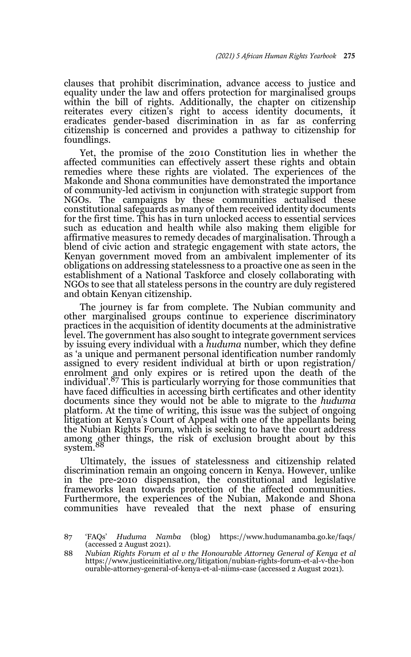clauses that prohibit discrimination, advance access to justice and equality under the law and offers protection for marginalised groups within the bill of rights. Additionally, the chapter on citizenship reiterates every citizen's right to access identity documents, it eradicates gender-based discrimination in as far as conferring citizenship is concerned and provides a pathway to citizenship for foundlings.

Yet, the promise of the 2010 Constitution lies in whether the affected communities can effectively assert these rights and obtain remedies where these rights are violated. The experiences of the Makonde and Shona communities have demonstrated the importance of community-led activism in conjunction with strategic support from NGOs. The campaigns by these communities actualised these constitutional safeguards as many of them received identity documents for the first time. This has in turn unlocked access to essential services such as education and health while also making them eligible for affirmative measures to remedy decades of marginalisation. Through a blend of civic action and strategic engagement with state actors, the Kenyan government moved from an ambivalent implementer of its obligations on addressing statelessness to a proactive one as seen in the establishment of a National Taskforce and closely collaborating with NGOs to see that all stateless persons in the country are duly registered and obtain Kenyan citizenship.

The journey is far from complete. The Nubian community and other marginalised groups continue to experience discriminatory practices in the acquisition of identity documents at the administrative level. The government has also sought to integrate government services by issuing every individual with a *huduma* number, which they define as 'a unique and permanent personal identification number randomly assigned to every resident individual at birth or upon registration/ enrolment and only expires or is retired upon the death of the individual'.<sup>87</sup> This is particularly worrying for those communities that have faced difficulties in accessing birth certificates and other identity documents since they would not be able to migrate to the *huduma* platform. At the time of writing, this issue was the subject of ongoing litigation at Kenya's Court of Appeal with one of the appellants being the Nubian Rights Forum, which is seeking to have the court address among other things, the risk of exclusion brought about by this system.

Ultimately, the issues of statelessness and citizenship related discrimination remain an ongoing concern in Kenya. However, unlike in the pre-2010 dispensation, the constitutional and legislative frameworks lean towards protection of the affected communities. Furthermore, the experiences of the Nubian, Makonde and Shona communities have revealed that the next phase of ensuring

<sup>87 &#</sup>x27;FAQs' *Huduma Namba* (blog) https://www.hudumanamba.go.ke/faqs/ (accessed 2 August 2021).

<sup>88</sup> *Nubian Rights Forum et al v the Honourable Attorney General of Kenya et al* https://www.justiceinitiative.org/litigation/nubian-rights-forum-et-al-v-the-hon ourable-attorney-general-of-kenya-et-al-niims-case (accessed 2 August 2021).